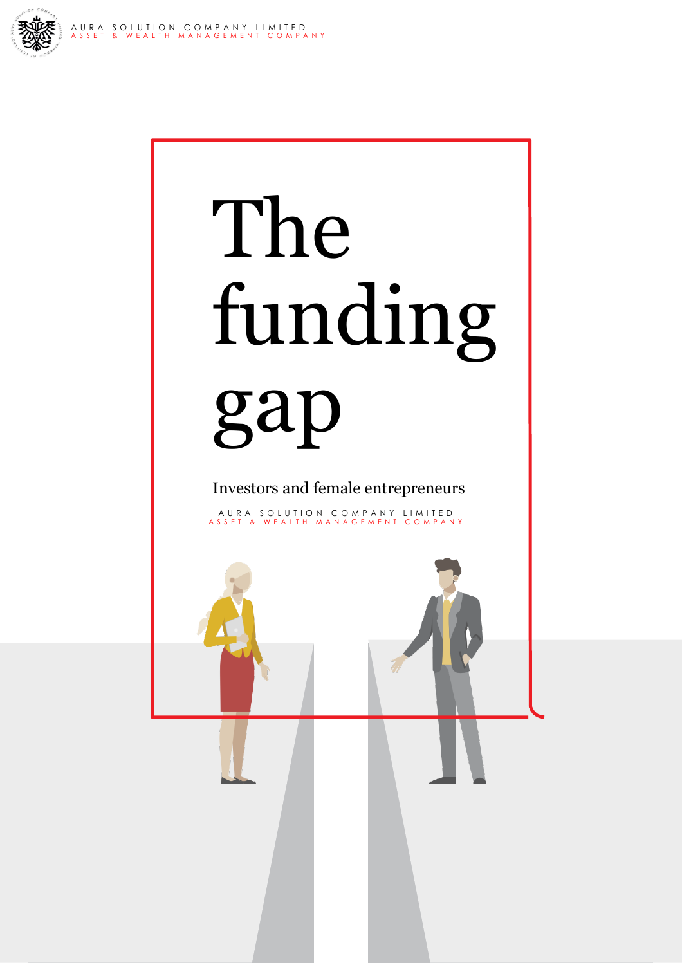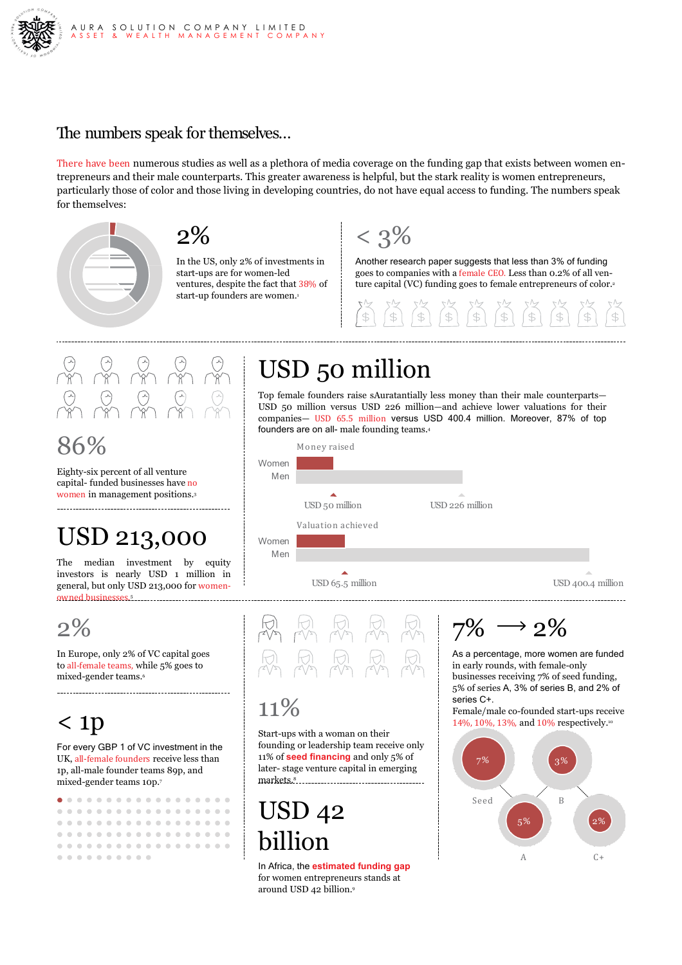

### The numbers speak for themselves…

There have been numerous studies as well as a plethora of media coverage on the funding gap that exists between women entrepreneurs and their male counterparts. This greater awareness is helpful, but the stark reality is women entrepreneurs, particularly those of color and those living in developing countries, do not have equal access to funding. The numbers speak for themselves:



 $2\%$ 

In the US, only 2% of investments in start-ups are for women-led ventures, despite the fact that 38% of start-up founders are women.<sup>1</sup>



Another research paper suggests that less than 3% of funding goes to companies with a female CEO. Less than 0.2% of all venture capital (VC) funding goes to female entrepreneurs of color.2



86%

Eighty-six percent of all venture capital- funded businesses have no women in management positions.3

## USD 213,000

The median investment by equity investors is nearly USD 1 million in general, but only USD 213,000 for womenowned businesses. 5

2%

In Europe, only 2% of VC capital goes to all-female teams, while 5% goes to mixed-gender teams.6

## < 1p

For every GBP 1 of VC investment in the UK, all-female founders receive less than 1p, all-male founder teams 89p, and mixed-gender teams 10p.7

|  |  | . |  |  |  |  |  |  |
|--|--|---|--|--|--|--|--|--|
|  |  | . |  |  |  |  |  |  |
|  |  | . |  |  |  |  |  |  |
|  |  | . |  |  |  |  |  |  |
|  |  | . |  |  |  |  |  |  |
|  |  | . |  |  |  |  |  |  |

## USD 50 million

Top female founders raise sAuratantially less money than their male counterparts— USD 50 million versus USD 226 million—and achieve lower valuations for their companies— USD 65.5 million versus USD 400.4 million. Moreover, 87% of top founders are on all- male founding teams.4





### $11\%$

Start-ups with a woman on their founding or leadership team receive only 11% of **seed financing** and only 5% of later- stage venture capital in emerging markets.<sup>8</sup>

## USD 42 billion

In Africa, the **estimated funding gap**  for women entrepreneurs stands at around USD 42 billion.9

 $7\% \rightarrow 2\%$ 

As a percentage, more women are funded in early rounds, with female-only businesses receiving 7% of seed funding, 5% of series A, 3% of series B, and 2% of series C+

Female/male co-founded start-ups receive 14%, 10%, 13%, and 10% respectively.10

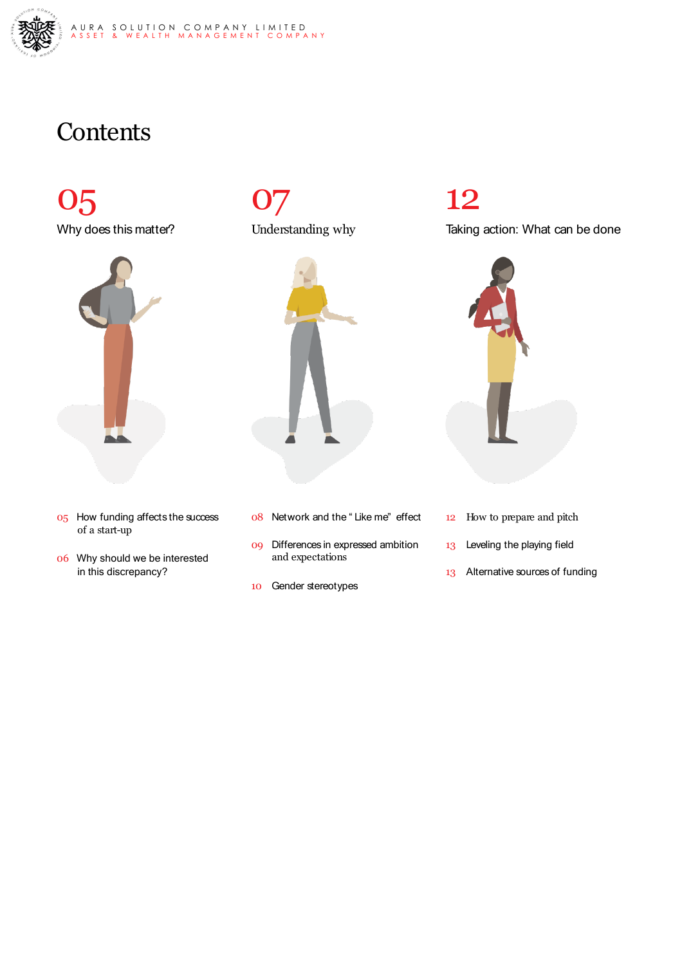

## **Contents**

 $O5$ Why does this matter?



- 05 How funding affects the success of a start-up
- 06 Why should we be interested in this discrepancy?





- 08 Network and the " Like me" effect
- 09 Differences in expressed ambition and expectations
- 10 Gender stereotypes

## 12

Taking action: What can be done



- 12 How to prepare and pitch
- 13 Leveling the playing field
- 13 Alternative sources of funding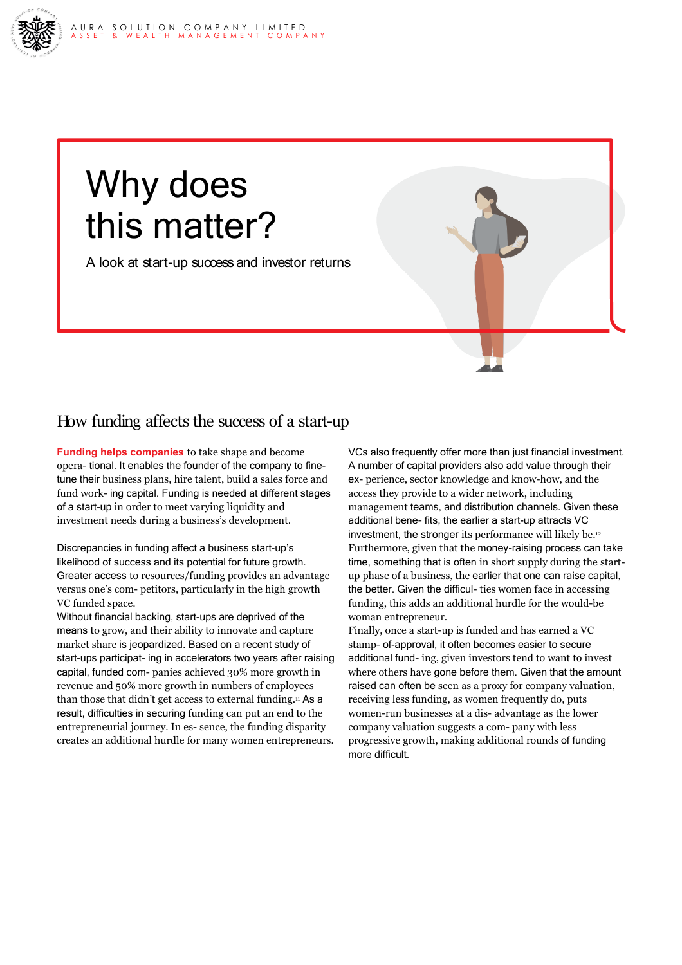# Why does this matter?

A look at start-up success and investor returns

### How funding affects the success of a start-up

**Funding helps companies** to take shape and become opera- tional. It enables the founder of the company to finetune their business plans, hire talent, build a sales force and fund work- ing capital. Funding is needed at different stages of a start-up in order to meet varying liquidity and investment needs during a business's development.

Discrepancies in funding affect a business start-up's likelihood of success and its potential for future growth. Greater access to resources/funding provides an advantage versus one's com- petitors, particularly in the high growth VC funded space.

Without financial backing, start-ups are deprived of the means to grow, and their ability to innovate and capture market share is jeopardized. Based on a recent study of start-ups participat- ing in accelerators two years after raising capital, funded com- panies achieved 30% more growth in revenue and 50% more growth in numbers of employees than those that didn't get access to external funding.<sup>11</sup> As a result, difficulties in securing funding can put an end to the entrepreneurial journey. In es- sence, the funding disparity creates an additional hurdle for many women entrepreneurs.

VCs also frequently offer more than just financial investment. A number of capital providers also add value through their ex- perience, sector knowledge and know-how, and the access they provide to a wider network, including management teams, and distribution channels. Given these additional bene- fits, the earlier a start-up attracts VC investment, the stronger its performance will likely be.12 Furthermore, given that the money-raising process can take time, something that is often in short supply during the startup phase of a business, the earlier that one can raise capital, the better. Given the difficul- ties women face in accessing funding, this adds an additional hurdle for the would-be woman entrepreneur.

Finally, once a start-up is funded and has earned a VC stamp- of-approval, it often becomes easier to secure additional fund- ing, given investors tend to want to invest where others have gone before them. Given that the amount raised can often be seen as a proxy for company valuation, receiving less funding, as women frequently do, puts women-run businesses at a dis- advantage as the lower company valuation suggests a com- pany with less progressive growth, making additional rounds of funding more difficult.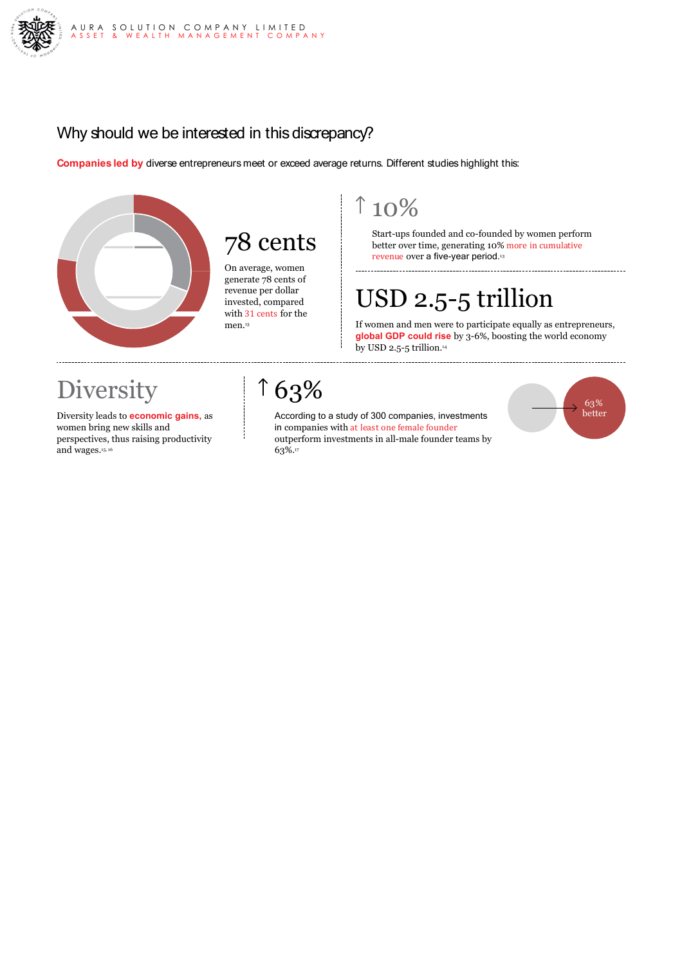

### Why should we be interested in this discrepancy?

**Companies led by** diverse entrepreneurs meet or exceed average returns. Different studies highlight this:



## 78 cents

On average, women generate 78 cents of revenue per dollar invested, compared with 31 cents for the men.13

### $10%$

Start-ups founded and co-founded by women perform better over time, generating 10% more in cumulative revenue over a five-year period.<sup>13</sup>

## USD 2.5-5 trillion

If women and men were to participate equally as entrepreneurs, **global GDP could rise** by 3-6%, boosting the world economy by USD 2.5-5 trillion. $44$ 

## **Diversity**

Diversity leads to **economic gains,** as women bring new skills and perspectives, thus raising productivity and wages.<sup>15, 16</sup>

### $163%$

According to a study of 300 companies, investments in companies with at least one female founder outperform investments in all-male founder teams by 63%.17

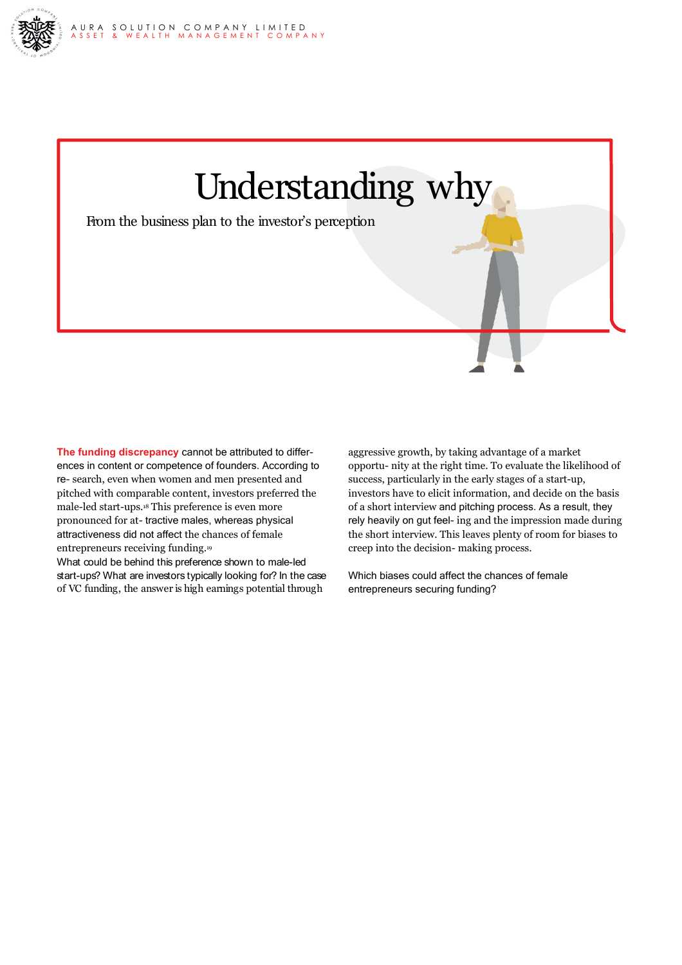



**The funding discrepancy** cannot be attributed to differences in content or competence of founders. According to re- search, even when women and men presented and pitched with comparable content, investors preferred the male-led start-ups.18 This preference is even more pronounced for at- tractive males, whereas physical attractiveness did not affect the chances of female entrepreneurs receiving funding.19

What could be behind this preference shown to male-led start-ups? What are investors typically looking for? In the case of VC funding, the answer is high earnings potential through

aggressive growth, by taking advantage of a market opportu- nity at the right time. To evaluate the likelihood of success, particularly in the early stages of a start-up, investors have to elicit information, and decide on the basis of a short interview and pitching process. As a result, they rely heavily on gut feel- ing and the impression made during the short interview. This leaves plenty of room for biases to creep into the decision- making process.

Which biases could affect the chances of female entrepreneurs securing funding?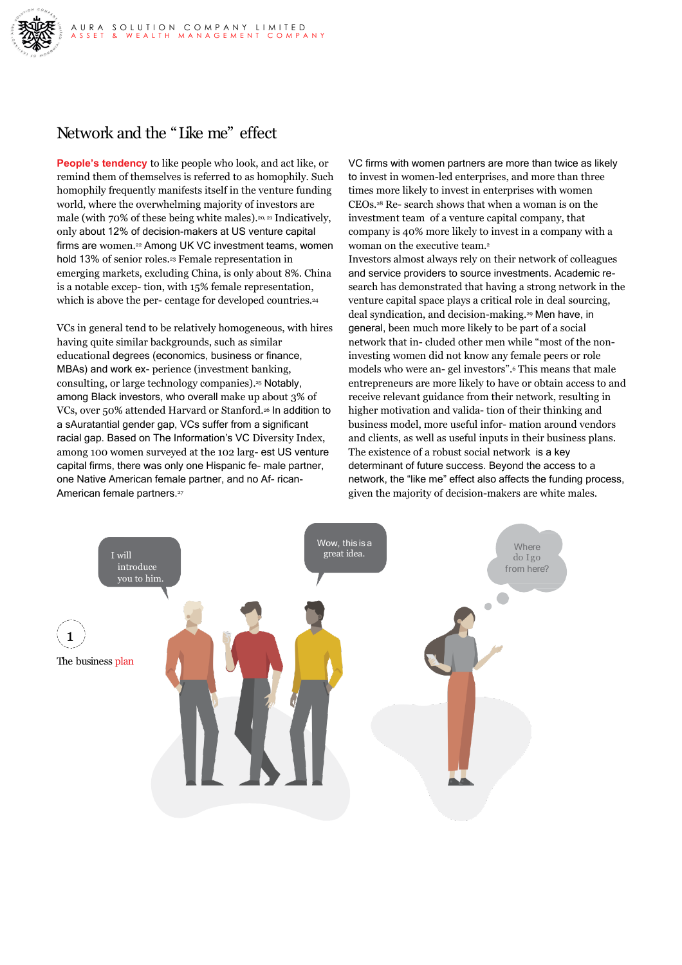

### Network and the "Like me" effect

**People's tendency** to like people who look, and act like, or remind them of themselves is referred to as homophily. Such homophily frequently manifests itself in the venture funding world, where the overwhelming majority of investors are male (with 70% of these being white males).20, <sup>21</sup> Indicatively, only about 12% of decision-makers at US venture capital firms are women.<sup>22</sup> Among UK VC investment teams, women hold 13% of senior roles.<sup>23</sup> Female representation in emerging markets, excluding China, is only about 8%. China is a notable excep- tion, with 15% female representation, which is above the per- centage for developed countries.<sup>24</sup>

VCs in general tend to be relatively homogeneous, with hires having quite similar backgrounds, such as similar educational degrees (economics, business or finance, MBAs) and work ex- perience (investment banking, consulting, or large technology companies).25 Notably, among Black investors, who overall make up about 3% of VCs, over 50% attended Harvard or Stanford.26 In addition to a sAuratantial gender gap, VCs suffer from a significant racial gap. Based on The Information's VC Diversity Index, among 100 women surveyed at the 102 larg- est US venture capital firms, there was only one Hispanic fe- male partner, one Native American female partner, and no Af- rican-American female partners.<sup>27</sup>

VC firms with women partners are more than twice as likely to invest in women-led enterprises, and more than three times more likely to invest in enterprises with women CEOs.28 Re- search shows that when a woman is on the investment team of a venture capital company, that company is 40% more likely to invest in a company with a woman on the executive team.<sup>2</sup>

Investors almost always rely on their network of colleagues and service providers to source investments. Academic research has demonstrated that having a strong network in the venture capital space plays a critical role in deal sourcing, deal syndication, and decision-making.29 Men have, in general, been much more likely to be part of a social network that in- cluded other men while "most of the noninvesting women did not know any female peers or role models who were an- gel investors".6 This means that male entrepreneurs are more likely to have or obtain access to and receive relevant guidance from their network, resulting in higher motivation and valida- tion of their thinking and business model, more useful infor- mation around vendors and clients, as well as useful inputs in their business plans. The existence of a robust social network is a key determinant of future success. Beyond the access to a network, the "like me" effect also affects the funding process, given the majority of decision-makers are white males.

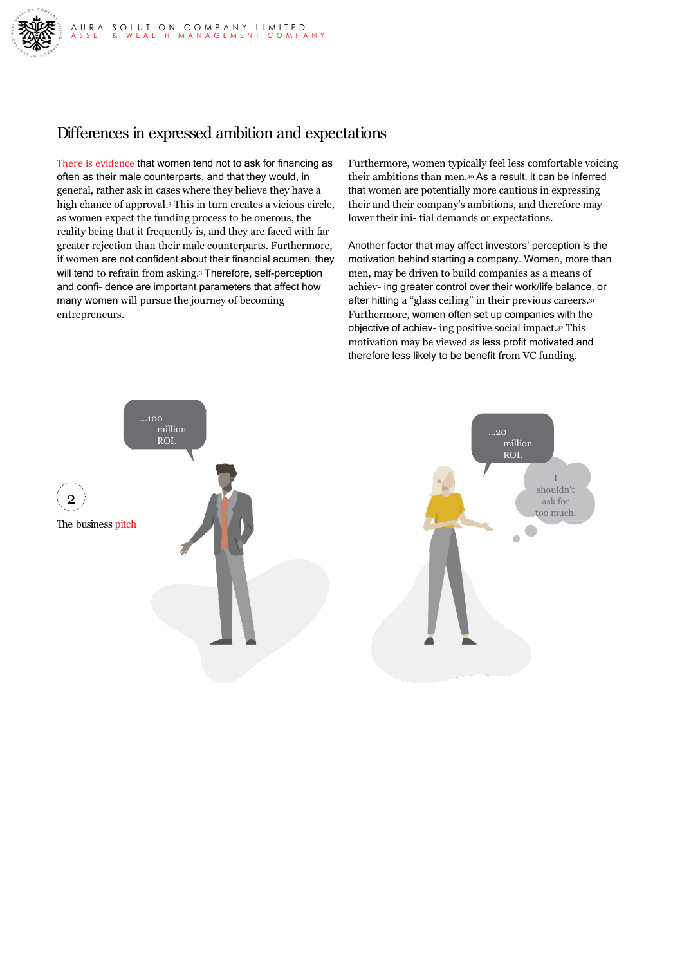

### Differences in expressed ambition and expectations

There is evidence that women tend not to ask for financing as often as their male counterparts, and that they would, in general, rather ask in cases where they believe they have a high chance of approval.3 This in turn creates a vicious circle, as women expect the funding process to be onerous, the reality being that it frequently is, and they are faced with far greater rejection than their male counterparts. Furthermore, if women are not confident about their financial acumen, they will tend to refrain from asking.<sup>3</sup> Therefore, self-perception and confi- dence are important parameters that affect how many women will pursue the journey of becoming entrepreneurs.

Furthermore, women typically feel less comfortable voicing their ambitions than men.30 As a result, it can be inferred that women are potentially more cautious in expressing their and their company's ambitions, and therefore may lower their ini- tial demands or expectations.

Another factor that may affect investors' perception is the motivation behind starting a company. Women, more than men, may be driven to build companies as a means of achiev- ing greater control over their work/life balance, or after hitting a "glass ceiling" in their previous careers.31 Furthermore, women often set up companies with the objective of achiev- ing positive social impact.32 This motivation may be viewed as less profit motivated and therefore less likely to be benefit from VC funding.

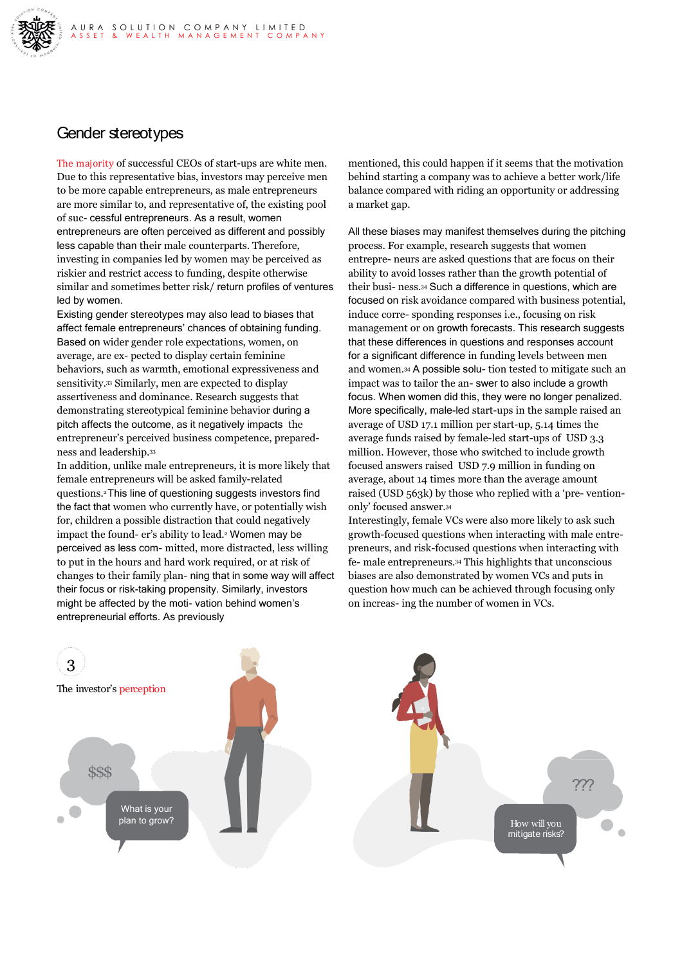

### Gender stereotypes

The majority of successful CEOs of start-ups are white men. Due to this representative bias, investors may perceive men to be more capable entrepreneurs, as male entrepreneurs are more similar to, and representative of, the existing pool of suc- cessful entrepreneurs. As a result, women entrepreneurs are often perceived as different and possibly less capable than their male counterparts. Therefore, investing in companies led by women may be perceived as riskier and restrict access to funding, despite otherwise similar and sometimes better risk/ return profiles of ventures led by women.

Existing gender stereotypes may also lead to biases that affect female entrepreneurs' chances of obtaining funding. Based on wider gender role expectations, women, on average, are ex- pected to display certain feminine behaviors, such as warmth, emotional expressiveness and sensitivity.<sup>33</sup> Similarly, men are expected to display assertiveness and dominance. Research suggests that demonstrating stereotypical feminine behavior during a pitch affects the outcome, as it negatively impacts the entrepreneur's perceived business competence, preparedness and leadership.33

In addition, unlike male entrepreneurs, it is more likely that female entrepreneurs will be asked family-related questions.2This line of questioning suggests investors find the fact that women who currently have, or potentially wish for, children a possible distraction that could negatively impact the found- er's ability to lead.<sup>2</sup> Women may be perceived as less com- mitted, more distracted, less willing to put in the hours and hard work required, or at risk of changes to their family plan- ning that in some way will affect their focus or risk-taking propensity. Similarly, investors might be affected by the moti- vation behind women's entrepreneurial efforts. As previously

mentioned, this could happen if it seems that the motivation behind starting a company was to achieve a better work/life balance compared with riding an opportunity or addressing a market gap.

All these biases may manifest themselves during the pitching process. For example, research suggests that women entrepre- neurs are asked questions that are focus on their ability to avoid losses rather than the growth potential of their busi- ness.34 Such a difference in questions, which are focused on risk avoidance compared with business potential, induce corre- sponding responses i.e., focusing on risk management or on growth forecasts. This research suggests that these differences in questions and responses account for a significant difference in funding levels between men and women.34 A possible solu- tion tested to mitigate such an impact was to tailor the an- swer to also include a growth focus. When women did this, they were no longer penalized. More specifically, male-led start-ups in the sample raised an average of USD 17.1 million per start-up, 5.14 times the average funds raised by female-led start-ups of USD 3.3 million. However, those who switched to include growth focused answers raised USD 7.9 million in funding on average, about 14 times more than the average amount raised (USD 563k) by those who replied with a 'pre- ventiononly' focused answer.34

Interestingly, female VCs were also more likely to ask such growth-focused questions when interacting with male entrepreneurs, and risk-focused questions when interacting with fe- male entrepreneurs.34 This highlights that unconscious biases are also demonstrated by women VCs and puts in question how much can be achieved through focusing only on increas- ing the number of women in VCs.

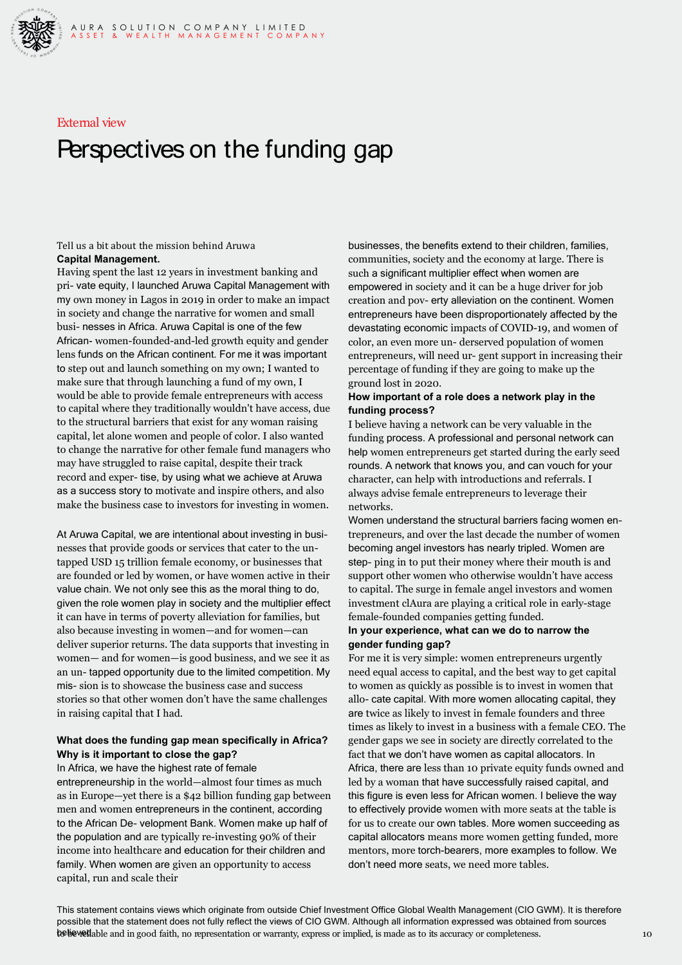

#### External view

## Perspectives on the funding gap

#### Tell us a bit about the mission behind Aruwa **Capital Management.**

Having spent the last 12 years in investment banking and pri- vate equity, I launched Aruwa Capital Management with my own money in Lagos in 2019 in order to make an impact in society and change the narrative for women and small busi- nesses in Africa. Aruwa Capital is one of the few African- women-founded-and-led growth equity and gender lens funds on the African continent. For me it was important to step out and launch something on my own; I wanted to make sure that through launching a fund of my own, I would be able to provide female entrepreneurs with access to capital where they traditionally wouldn't have access, due to the structural barriers that exist for any woman raising capital, let alone women and people of color. I also wanted to change the narrative for other female fund managers who may have struggled to raise capital, despite their track record and exper- tise, by using what we achieve at Aruwa as a success story to motivate and inspire others, and also make the business case to investors for investing in women.

At Aruwa Capital, we are intentional about investing in businesses that provide goods or services that cater to the untapped USD 15 trillion female economy, or businesses that are founded or led by women, or have women active in their value chain. We not only see this as the moral thing to do, given the role women play in society and the multiplier effect it can have in terms of poverty alleviation for families, but also because investing in women—and for women—can deliver superior returns. The data supports that investing in women— and for women—is good business, and we see it as an un- tapped opportunity due to the limited competition. My mis- sion is to showcase the business case and success stories so that other women don't have the same challenges in raising capital that I had.

#### **What does the funding gap mean specifically in Africa? Why is it important to close the gap?**

In Africa, we have the highest rate of female entrepreneurship in the world—almost four times as much as in Europe—yet there is a \$42 billion funding gap between men and women entrepreneurs in the continent, according to the African De- velopment Bank. Women make up half of the population and are typically re-investing 90% of their income into healthcare and education for their children and family. When women are given an opportunity to access capital, run and scale their

businesses, the benefits extend to their children, families, communities, society and the economy at large. There is such a significant multiplier effect when women are empowered in society and it can be a huge driver for job creation and pov- erty alleviation on the continent. Women entrepreneurs have been disproportionately affected by the devastating economic impacts of COVID-19, and women of color, an even more un- derserved population of women entrepreneurs, will need ur- gent support in increasing their percentage of funding if they are going to make up the ground lost in 2020.

#### **How important of a role does a network play in the funding process?**

I believe having a network can be very valuable in the funding process. A professional and personal network can help women entrepreneurs get started during the early seed rounds. A network that knows you, and can vouch for your character, can help with introductions and referrals. I always advise female entrepreneurs to leverage their networks.

Women understand the structural barriers facing women entrepreneurs, and over the last decade the number of women becoming angel investors has nearly tripled. Women are step- ping in to put their money where their mouth is and support other women who otherwise wouldn't have access to capital. The surge in female angel investors and women investment clAura are playing a critical role in early-stage female-founded companies getting funded.

#### **In your experience, what can we do to narrow the gender funding gap?**

For me it is very simple: women entrepreneurs urgently need equal access to capital, and the best way to get capital to women as quickly as possible is to invest in women that allo- cate capital. With more women allocating capital, they are twice as likely to invest in female founders and three times as likely to invest in a business with a female CEO. The gender gaps we see in society are directly correlated to the fact that we don't have women as capital allocators. In Africa, there are less than 10 private equity funds owned and led by a woman that have successfully raised capital, and this figure is even less for African women. I believe the way to effectively provide women with more seats at the table is for us to create our own tables. More women succeeding as capital allocators means more women getting funded, more mentors, more torch-bearers, more examples to follow. We don't need more seats, we need more tables.

**the believed** able and in good faith, no representation or warranty, express or implied, is made as to its accuracy or completeness. 10 This statement contains views which originate from outside Chief Investment Office Global Wealth Management (CIO GWM). It is therefore possible that the statement does not fully reflect the views of CIO GWM. Although all information expressed was obtained from sources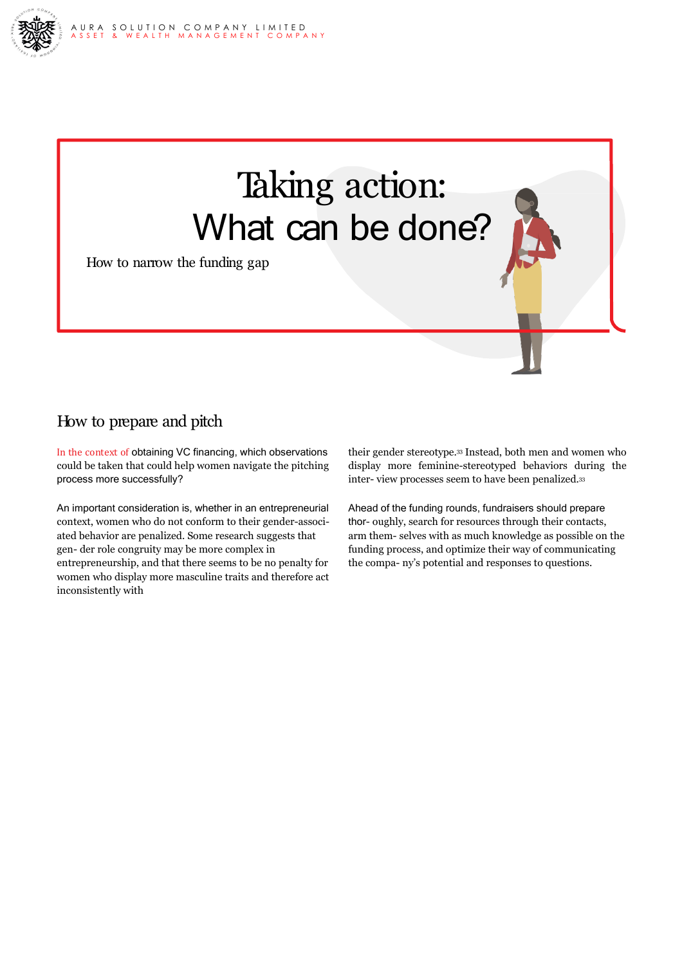



How to narrow the funding gap

### How to prepare and pitch

In the context of obtaining VC financing, which observations could be taken that could help women navigate the pitching process more successfully?

An important consideration is, whether in an entrepreneurial context, women who do not conform to their gender-associated behavior are penalized. Some research suggests that gen- der role congruity may be more complex in entrepreneurship, and that there seems to be no penalty for women who display more masculine traits and therefore act inconsistently with

their gender stereotype.33 Instead, both men and women who display more feminine-stereotyped behaviors during the inter- view processes seem to have been penalized.33

Ahead of the funding rounds, fundraisers should prepare thor- oughly, search for resources through their contacts, arm them- selves with as much knowledge as possible on the funding process, and optimize their way of communicating the compa- ny's potential and responses to questions.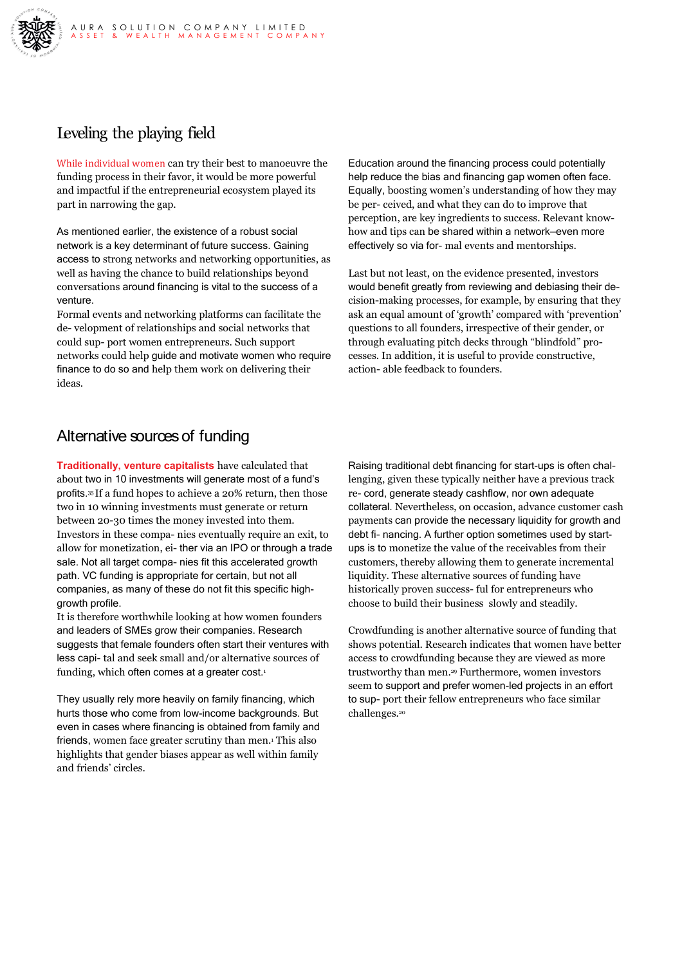

### Leveling the playing field

While individual women can try their best to manoeuvre the funding process in their favor, it would be more powerful and impactful if the entrepreneurial ecosystem played its part in narrowing the gap.

As mentioned earlier, the existence of a robust social network is a key determinant of future success. Gaining access to strong networks and networking opportunities, as well as having the chance to build relationships beyond conversations around financing is vital to the success of a venture.

Formal events and networking platforms can facilitate the de- velopment of relationships and social networks that could sup- port women entrepreneurs. Such support networks could help guide and motivate women who require finance to do so and help them work on delivering their ideas.

Education around the financing process could potentially help reduce the bias and financing gap women often face. Equally, boosting women's understanding of how they may be per- ceived, and what they can do to improve that perception, are key ingredients to success. Relevant knowhow and tips can be shared within a network—even more effectively so via for- mal events and mentorships.

Last but not least, on the evidence presented, investors would benefit greatly from reviewing and debiasing their decision-making processes, for example, by ensuring that they ask an equal amount of 'growth' compared with 'prevention' questions to all founders, irrespective of their gender, or through evaluating pitch decks through "blindfold" processes. In addition, it is useful to provide constructive, action- able feedback to founders.

### Alternative sources of funding

**Traditionally, venture capitalists** have calculated that about two in 10 investments will generate most of a fund's profits.<sup>35</sup> If a fund hopes to achieve a 20% return, then those two in 10 winning investments must generate or return between 20-30 times the money invested into them. Investors in these compa- nies eventually require an exit, to allow for monetization, ei- ther via an IPO or through a trade sale. Not all target compa- nies fit this accelerated growth path. VC funding is appropriate for certain, but not all companies, as many of these do not fit this specific highgrowth profile.

It is therefore worthwhile looking at how women founders and leaders of SMEs grow their companies. Research suggests that female founders often start their ventures with less capi- tal and seek small and/or alternative sources of funding, which often comes at a greater cost.<sup>1</sup>

They usually rely more heavily on family financing, which hurts those who come from low-income backgrounds. But even in cases where financing is obtained from family and friends, women face greater scrutiny than men.1 This also highlights that gender biases appear as well within family and friends' circles.

Raising traditional debt financing for start-ups is often challenging, given these typically neither have a previous track re- cord, generate steady cashflow, nor own adequate collateral. Nevertheless, on occasion, advance customer cash payments can provide the necessary liquidity for growth and debt fi- nancing. A further option sometimes used by startups is to monetize the value of the receivables from their customers, thereby allowing them to generate incremental liquidity. These alternative sources of funding have historically proven success- ful for entrepreneurs who choose to build their business slowly and steadily.

Crowdfunding is another alternative source of funding that shows potential. Research indicates that women have better access to crowdfunding because they are viewed as more trustworthy than men.29 Furthermore, women investors seem to support and prefer women-led projects in an effort to sup- port their fellow entrepreneurs who face similar challenges.20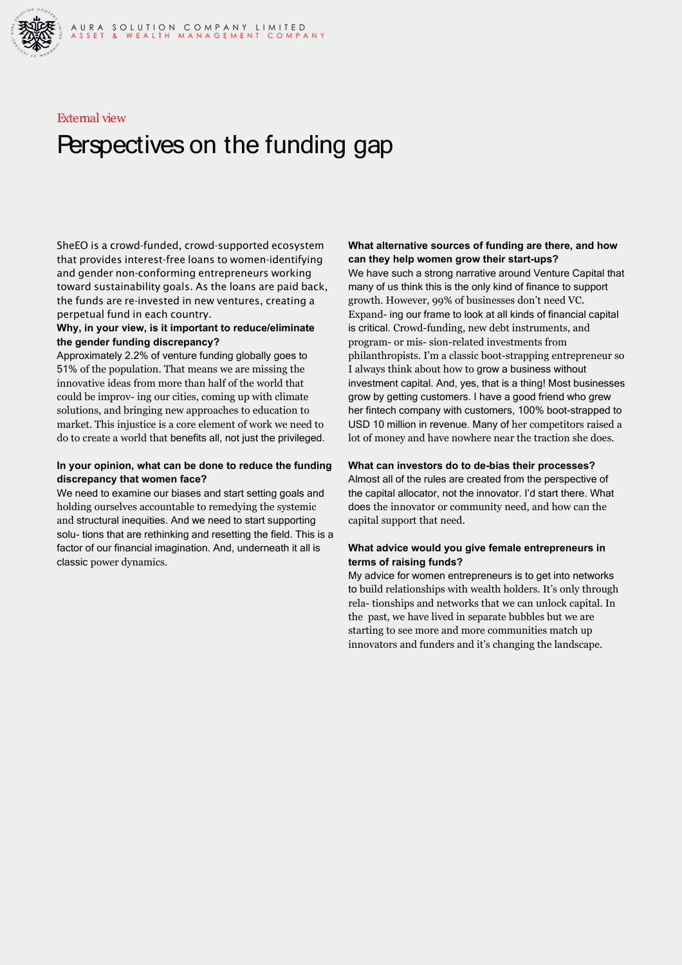

#### External view

### Perspectives on the funding gap

SheEO is a crowd-funded, crowd-supported ecosystem that provides interest-free loans to women-identifying and gender non-conforming entrepreneurs working toward sustainability goals. As the loans are paid back, the funds are re-invested in new ventures, creating a perpetual fund in each country.

#### **Why, in your view, is it important to reduce/eliminate the gender funding discrepancy?**

Approximately 2.2% of venture funding globally goes to 51% of the population. That means we are missing the innovative ideas from more than half of the world that could be improv- ing our cities, coming up with climate solutions, and bringing new approaches to education to market. This injustice is a core element of work we need to do to create a world that benefits all, not just the privileged.

#### **In your opinion, what can be done to reduce the funding discrepancy that women face?**

We need to examine our biases and start setting goals and holding ourselves accountable to remedying the systemic and structural inequities. And we need to start supporting solu- tions that are rethinking and resetting the field. This is a factor of our financial imagination. And, underneath it all is classic power dynamics.

#### **What alternative sources of funding are there, and how can they help women grow their start-ups?**

We have such a strong narrative around Venture Capital that many of us think this is the only kind of finance to support growth. However, 99% of businesses don't need VC. Expand- ing our frame to look at all kinds of financial capital is critical. Crowd-funding, new debt instruments, and program- or mis- sion-related investments from philanthropists. I'm a classic boot-strapping entrepreneur so I always think about how to grow a business without investment capital. And, yes, that is a thing! Most businesses grow by getting customers. I have a good friend who grew her fintech company with customers, 100% boot-strapped to USD 10 million in revenue. Many of her competitors raised a lot of money and have nowhere near the traction she does.

#### **What can investors do to de-bias their processes?**

Almost all of the rules are created from the perspective of the capital allocator, not the innovator. I'd start there. What does the innovator or community need, and how can the capital support that need.

#### **What advice would you give female entrepreneurs in terms of raising funds?**

My advice for women entrepreneurs is to get into networks to build relationships with wealth holders. It's only through rela- tionships and networks that we can unlock capital. In the past, we have lived in separate bubbles but we are starting to see more and more communities match up innovators and funders and it's changing the landscape.